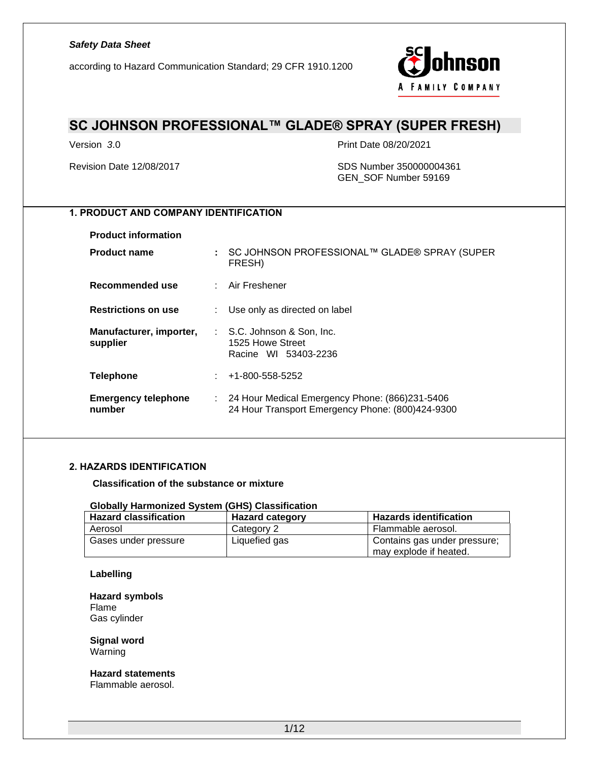according to Hazard Communication Standard; 29 CFR 1910.1200



### **SC JOHNSON PROFESSIONAL™ GLADE® SPRAY (SUPER FRESH)**

Version *3*.0 Print Date 08/20/2021

#### Revision Date 12/08/2017 SDS Number 350000004361 GEN\_SOF Number 59169

### **1. PRODUCT AND COMPANY IDENTIFICATION**

**Product information**

| <b>Product name</b>                  | ÷ | SC JOHNSON PROFESSIONAL™ GLADE® SPRAY (SUPER<br>FRESH)                                               |
|--------------------------------------|---|------------------------------------------------------------------------------------------------------|
| Recommended use                      |   | : Air Freshener                                                                                      |
| <b>Restrictions on use</b>           |   | Use only as directed on label                                                                        |
| Manufacturer, importer,<br>supplier  |   | : S.C. Johnson & Son, Inc.<br>1525 Howe Street<br>Racine WI 53403-2236                               |
| <b>Telephone</b>                     |   | +1-800-558-5252                                                                                      |
| <b>Emergency telephone</b><br>number |   | : 24 Hour Medical Emergency Phone: (866)231-5406<br>24 Hour Transport Emergency Phone: (800)424-9300 |

#### **2. HAZARDS IDENTIFICATION**

**Classification of the substance or mixture**

#### **Globally Harmonized System (GHS) Classification**

| <b>Hazard classification</b> | <b>Hazard category</b> | <b>Hazards identification</b>                          |
|------------------------------|------------------------|--------------------------------------------------------|
| Aerosol                      | Category 2             | Flammable aerosol.                                     |
| Gases under pressure         | Liquefied gas          | Contains gas under pressure;<br>may explode if heated. |

#### **Labelling**

**Hazard symbols** Flame Gas cylinder

**Signal word** Warning

### **Hazard statements**

Flammable aerosol.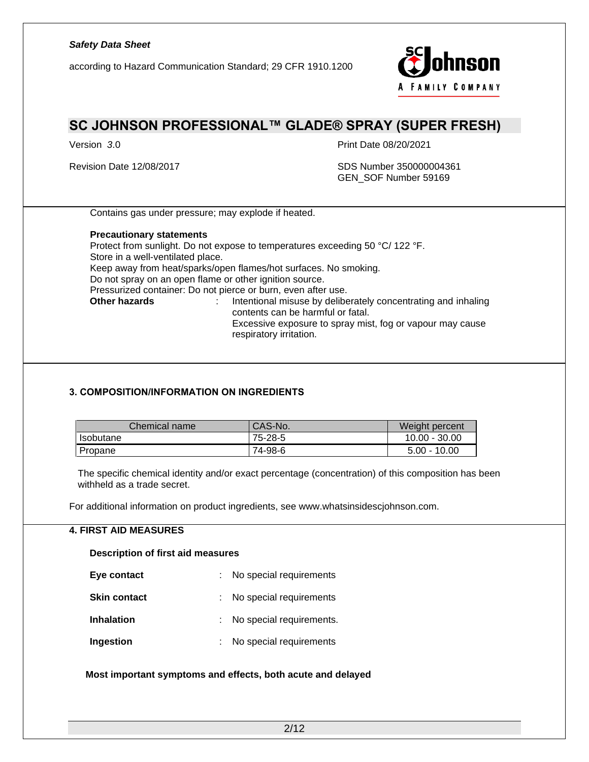according to Hazard Communication Standard; 29 CFR 1910.1200



## **SC JOHNSON PROFESSIONAL™ GLADE® SPRAY (SUPER FRESH)**

Version *3*.0 Print Date 08/20/2021

#### Revision Date 12/08/2017 SDS Number 350000004361 GEN\_SOF Number 59169

Contains gas under pressure; may explode if heated.

#### **Precautionary statements**

Protect from sunlight. Do not expose to temperatures exceeding 50 °C/ 122 °F. Store in a well-ventilated place. Keep away from heat/sparks/open flames/hot surfaces. No smoking. Do not spray on an open flame or other ignition source. Pressurized container: Do not pierce or burn, even after use.<br>
Other hazards
<br>  $\cdot$  lntentional misuse by delibe **Other hazards** : Intentional misuse by deliberately concentrating and inhaling contents can be harmful or fatal. Excessive exposure to spray mist, fog or vapour may cause respiratory irritation.

#### **3. COMPOSITION/INFORMATION ON INGREDIENTS**

| Chemical name | CAS-No. | Weight percent  |
|---------------|---------|-----------------|
| Isobutane     | 75-28-5 | $10.00 - 30.00$ |
| Propane       | 74-98-6 | $5.00 - 10.00$  |

The specific chemical identity and/or exact percentage (concentration) of this composition has been withheld as a trade secret.

For additional information on product ingredients, see www.whatsinsidescjohnson.com.

#### **4. FIRST AID MEASURES**

**Description of first aid measures**

| Eye contact         | : No special requirements |
|---------------------|---------------------------|
| <b>Skin contact</b> | : No special requirements |
| <b>Inhalation</b>   | No special requirements.  |
| Ingestion           | No special requirements   |

**Most important symptoms and effects, both acute and delayed**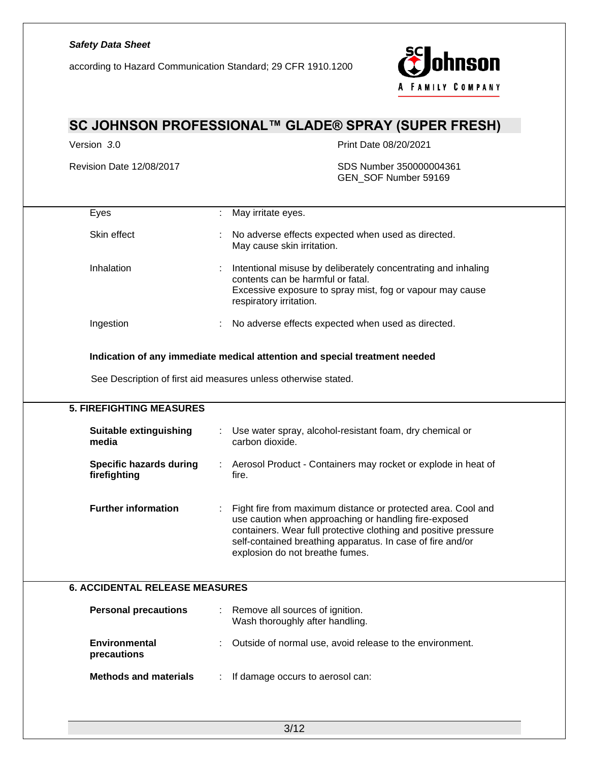according to Hazard Communication Standard; 29 CFR 1910.1200



## **SC JOHNSON PROFESSIONAL™ GLADE® SPRAY (SUPER FRESH)**

Version *3*.0 Print Date 08/20/2021

Revision Date 12/08/2017 SDS Number 350000004361 GEN\_SOF Number 59169

| Eyes                                           | May irritate eyes.                                                                                                                                                                                                                                                                        |
|------------------------------------------------|-------------------------------------------------------------------------------------------------------------------------------------------------------------------------------------------------------------------------------------------------------------------------------------------|
| Skin effect                                    | No adverse effects expected when used as directed.<br>May cause skin irritation.                                                                                                                                                                                                          |
| Inhalation                                     | Intentional misuse by deliberately concentrating and inhaling<br>contents can be harmful or fatal.<br>Excessive exposure to spray mist, fog or vapour may cause<br>respiratory irritation.                                                                                                |
| Ingestion                                      | No adverse effects expected when used as directed.                                                                                                                                                                                                                                        |
|                                                | Indication of any immediate medical attention and special treatment needed<br>See Description of first aid measures unless otherwise stated.                                                                                                                                              |
| <b>5. FIREFIGHTING MEASURES</b>                |                                                                                                                                                                                                                                                                                           |
| <b>Suitable extinguishing</b><br>media         | Use water spray, alcohol-resistant foam, dry chemical or<br>carbon dioxide.                                                                                                                                                                                                               |
| <b>Specific hazards during</b><br>firefighting | Aerosol Product - Containers may rocket or explode in heat of<br>fire.                                                                                                                                                                                                                    |
| <b>Further information</b>                     | Fight fire from maximum distance or protected area. Cool and<br>use caution when approaching or handling fire-exposed<br>containers. Wear full protective clothing and positive pressure<br>self-contained breathing apparatus. In case of fire and/or<br>explosion do not breathe fumes. |
| <b>6. ACCIDENTAL RELEASE MEASURES</b>          |                                                                                                                                                                                                                                                                                           |
| <b>Personal precautions</b>                    | Remove all sources of ignition.<br>Wash thoroughly after handling.                                                                                                                                                                                                                        |
| Environmental<br>precautions                   | Outside of normal use, avoid release to the environment.                                                                                                                                                                                                                                  |
| <b>Methods and materials</b>                   | If damage occurs to aerosol can:                                                                                                                                                                                                                                                          |
|                                                |                                                                                                                                                                                                                                                                                           |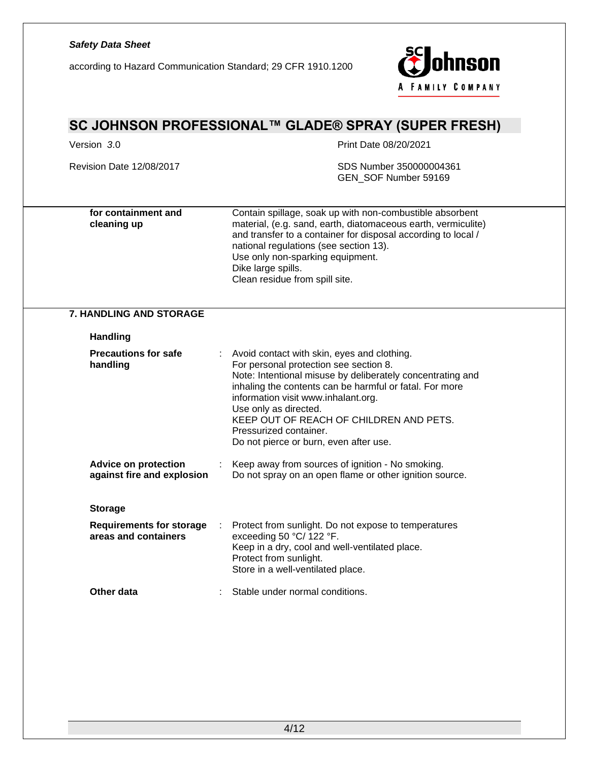according to Hazard Communication Standard; 29 CFR 1910.1200



| SC JOHNSON PROFESSIONAL™ GLADE® SPRAY (SUPER FRESH)       |                                                                                                                                                                                                                                                                                                                                                                                               |  |  |  |
|-----------------------------------------------------------|-----------------------------------------------------------------------------------------------------------------------------------------------------------------------------------------------------------------------------------------------------------------------------------------------------------------------------------------------------------------------------------------------|--|--|--|
| Version 3.0                                               | Print Date 08/20/2021                                                                                                                                                                                                                                                                                                                                                                         |  |  |  |
| Revision Date 12/08/2017                                  | SDS Number 350000004361<br>GEN_SOF Number 59169                                                                                                                                                                                                                                                                                                                                               |  |  |  |
| for containment and<br>cleaning up                        | Contain spillage, soak up with non-combustible absorbent<br>material, (e.g. sand, earth, diatomaceous earth, vermiculite)<br>and transfer to a container for disposal according to local /<br>national regulations (see section 13).<br>Use only non-sparking equipment.<br>Dike large spills.<br>Clean residue from spill site.                                                              |  |  |  |
| <b>7. HANDLING AND STORAGE</b>                            |                                                                                                                                                                                                                                                                                                                                                                                               |  |  |  |
| <b>Handling</b>                                           |                                                                                                                                                                                                                                                                                                                                                                                               |  |  |  |
| <b>Precautions for safe</b><br>handling                   | Avoid contact with skin, eyes and clothing.<br>For personal protection see section 8.<br>Note: Intentional misuse by deliberately concentrating and<br>inhaling the contents can be harmful or fatal. For more<br>information visit www.inhalant.org.<br>Use only as directed.<br>KEEP OUT OF REACH OF CHILDREN AND PETS.<br>Pressurized container.<br>Do not pierce or burn, even after use. |  |  |  |
| <b>Advice on protection</b><br>against fire and explosion | Keep away from sources of ignition - No smoking.<br>Do not spray on an open flame or other ignition source.                                                                                                                                                                                                                                                                                   |  |  |  |
| <b>Storage</b>                                            |                                                                                                                                                                                                                                                                                                                                                                                               |  |  |  |
| <b>Requirements for storage</b><br>areas and containers   | Protect from sunlight. Do not expose to temperatures<br>exceeding 50 °C/ 122 °F.<br>Keep in a dry, cool and well-ventilated place.<br>Protect from sunlight.<br>Store in a well-ventilated place.                                                                                                                                                                                             |  |  |  |
| Other data                                                | Stable under normal conditions.                                                                                                                                                                                                                                                                                                                                                               |  |  |  |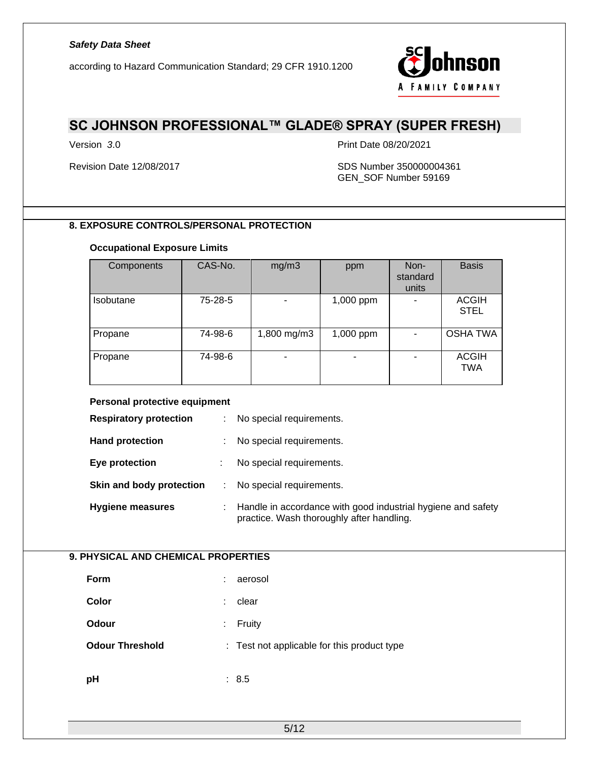according to Hazard Communication Standard; 29 CFR 1910.1200



## **SC JOHNSON PROFESSIONAL™ GLADE® SPRAY (SUPER FRESH)**

Version *3*.0 Print Date 08/20/2021

#### Revision Date 12/08/2017 SDS Number 350000004361 GEN\_SOF Number 59169

### **8. EXPOSURE CONTROLS/PERSONAL PROTECTION**

#### **Occupational Exposure Limits**

| Components | CAS-No. | mg/m3       | ppm       | Non-<br>standard<br>units | <b>Basis</b>                |
|------------|---------|-------------|-----------|---------------------------|-----------------------------|
| Isobutane  | 75-28-5 |             | 1,000 ppm |                           | <b>ACGIH</b><br><b>STEL</b> |
| Propane    | 74-98-6 | 1,800 mg/m3 | 1,000 ppm |                           | <b>OSHA TWA</b>             |
| Propane    | 74-98-6 |             | ٠         |                           | <b>ACGIH</b><br><b>TWA</b>  |

### **Personal protective equipment**

| <b>Respiratory protection</b> | ÷. | No special requirements.                                                                                  |
|-------------------------------|----|-----------------------------------------------------------------------------------------------------------|
| <b>Hand protection</b>        |    | No special requirements.                                                                                  |
| Eye protection                |    | No special requirements.                                                                                  |
| Skin and body protection      | ÷  | No special requirements.                                                                                  |
| <b>Hygiene measures</b>       | ÷. | Handle in accordance with good industrial hygiene and safety<br>practice. Wash thoroughly after handling. |

### **9. PHYSICAL AND CHEMICAL PROPERTIES**

| <b>Form</b>            | aerosol<br>÷                                |
|------------------------|---------------------------------------------|
| Color                  | clear<br>÷                                  |
| Odour                  | Fruity<br>÷                                 |
| <b>Odour Threshold</b> | : Test not applicable for this product type |
| рH                     | 8.5<br>÷.                                   |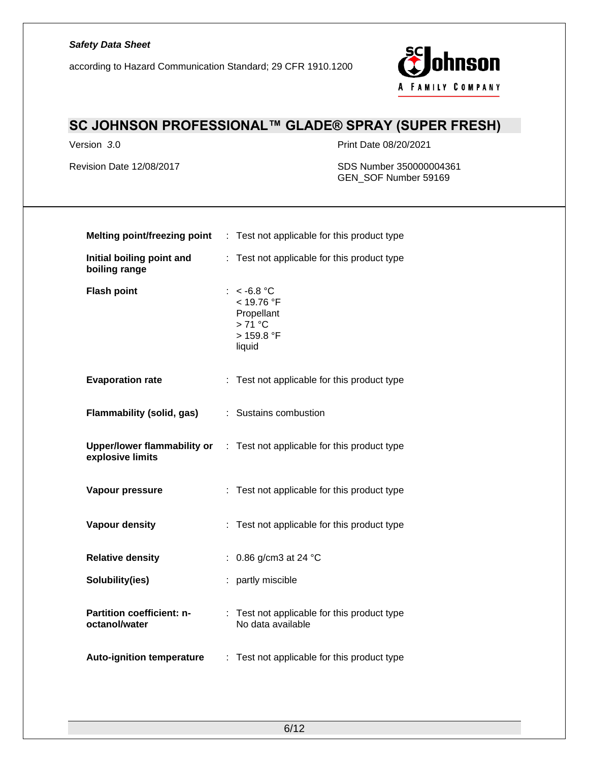according to Hazard Communication Standard; 29 CFR 1910.1200



## **SC JOHNSON PROFESSIONAL™ GLADE® SPRAY (SUPER FRESH)**

Version *3*.0 Print Date 08/20/2021

Revision Date 12/08/2017 SDS Number 350000004361 GEN\_SOF Number 59169

|                                            | <b>Melting point/freezing point</b> : Test not applicable for this product type      |
|--------------------------------------------|--------------------------------------------------------------------------------------|
| Initial boiling point and<br>boiling range | Test not applicable for this product type<br>÷.                                      |
| <b>Flash point</b>                         | : $< -6.8$ °C<br>< 19.76 °F<br>Propellant<br>$>71^{\circ}$ C<br>> 159.8 °F<br>liquid |
| <b>Evaporation rate</b>                    | : Test not applicable for this product type                                          |
| Flammability (solid, gas)                  | : Sustains combustion                                                                |
| explosive limits                           | Upper/lower flammability or : Test not applicable for this product type              |
| Vapour pressure                            | : Test not applicable for this product type                                          |
| Vapour density                             | : Test not applicable for this product type                                          |
| <b>Relative density</b>                    | : 0.86 g/cm3 at 24 $^{\circ}$ C                                                      |
| Solubility(ies)                            | : partly miscible                                                                    |
| Partition coefficient: n-<br>octanol/water | : Test not applicable for this product type<br>No data available                     |
| <b>Auto-ignition temperature</b>           | : Test not applicable for this product type                                          |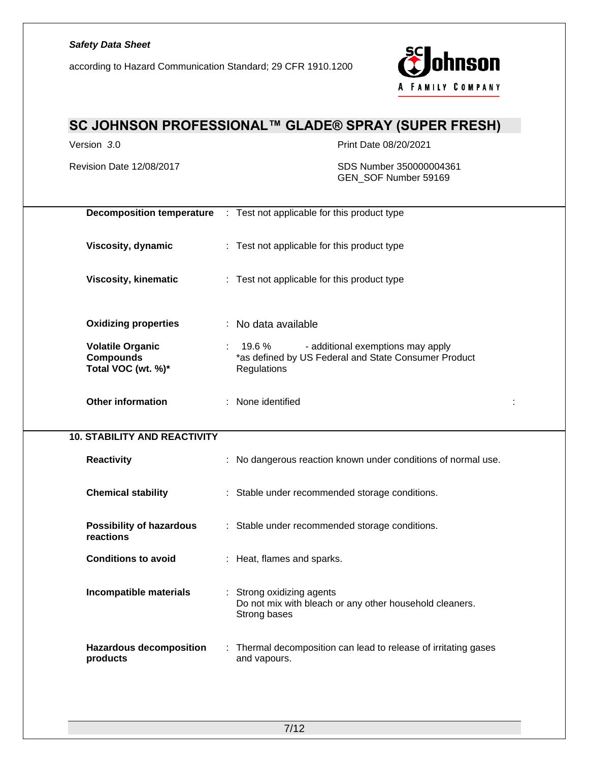according to Hazard Communication Standard; 29 CFR 1910.1200



# **SC JOHNSON PROFESSIONAL™ GLADE® SPRAY (SUPER FRESH)** Version *3*.0 Print Date 08/20/2021 Revision Date 12/08/2017 SDS Number 350000004361 GEN\_SOF Number 59169 **Decomposition temperature** : Test not applicable for this product type **Viscosity, dynamic** : Test not applicable for this product type **Viscosity, kinematic** : Test not applicable for this product type **Oxidizing properties** : No data available **Volatile Organic Compounds Total VOC (wt. %)\*** : 19.6 % - additional exemptions may apply \*as defined by US Federal and State Consumer Product **Regulations Other information** : None identified : **10. STABILITY AND REACTIVITY Reactivity Reactivity 19.1 Reactivity CO EXECUTE:** No dangerous reaction known under conditions of normal use. **Chemical stability** : Stable under recommended storage conditions. **Possibility of hazardous reactions** : Stable under recommended storage conditions. **Conditions to avoid** : Heat, flames and sparks. **Incompatible materials** : Strong oxidizing agents Do not mix with bleach or any other household cleaners. Strong bases **Hazardous decomposition products** : Thermal decomposition can lead to release of irritating gases and vapours.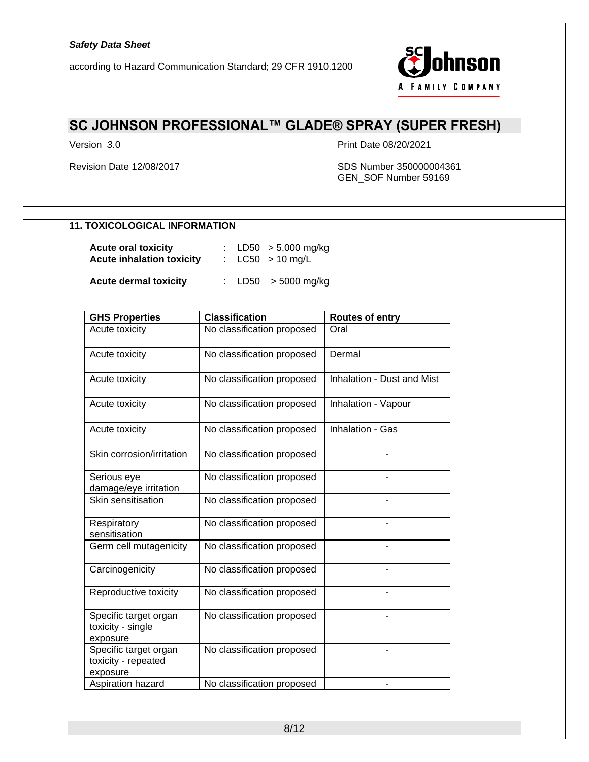according to Hazard Communication Standard; 29 CFR 1910.1200



## **SC JOHNSON PROFESSIONAL™ GLADE® SPRAY (SUPER FRESH)**

Version *3*.0 Print Date 08/20/2021

#### Revision Date 12/08/2017 SDS Number 350000004361 GEN\_SOF Number 59169

### **11. TOXICOLOGICAL INFORMATION**

| <b>Acute oral toxicity</b><br><b>Acute inhalation toxicity</b> |  | : LD50 $>$ 5,000 mg/kg<br>: $LC50 > 10$ mg/L |
|----------------------------------------------------------------|--|----------------------------------------------|
| <b>Acute dermal toxicity</b>                                   |  | : LD50 $>$ 5000 mg/kg                        |

| <b>GHS Properties</b>                                    | <b>Classification</b>      | <b>Routes of entry</b>     |
|----------------------------------------------------------|----------------------------|----------------------------|
| Acute toxicity                                           | No classification proposed | Oral                       |
| Acute toxicity                                           | No classification proposed | Dermal                     |
| Acute toxicity                                           | No classification proposed | Inhalation - Dust and Mist |
| Acute toxicity                                           | No classification proposed | Inhalation - Vapour        |
| Acute toxicity                                           | No classification proposed | Inhalation - Gas           |
| Skin corrosion/irritation                                | No classification proposed |                            |
| Serious eye<br>damage/eye irritation                     | No classification proposed |                            |
| <b>Skin sensitisation</b>                                | No classification proposed |                            |
| Respiratory<br>sensitisation                             | No classification proposed |                            |
| Germ cell mutagenicity                                   | No classification proposed |                            |
| Carcinogenicity                                          | No classification proposed |                            |
| Reproductive toxicity                                    | No classification proposed |                            |
| Specific target organ<br>toxicity - single<br>exposure   | No classification proposed |                            |
| Specific target organ<br>toxicity - repeated<br>exposure | No classification proposed |                            |
| Aspiration hazard                                        | No classification proposed |                            |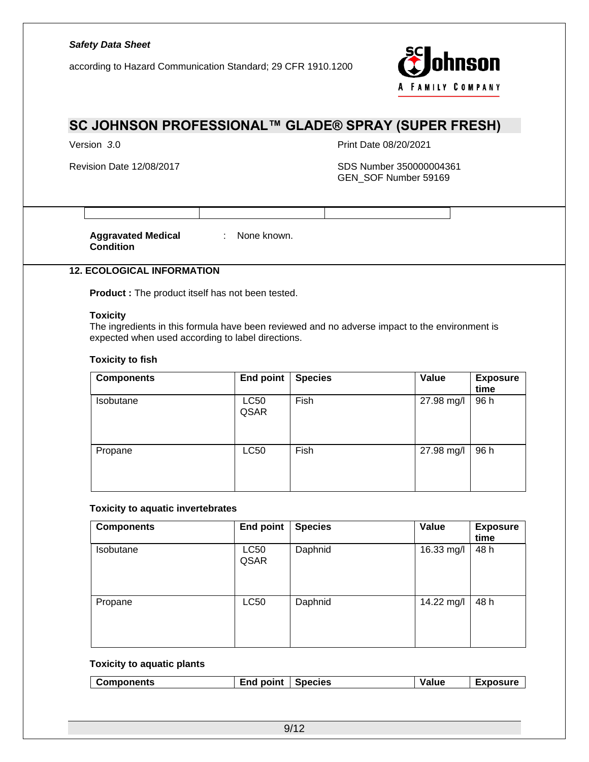according to Hazard Communication Standard; 29 CFR 1910.1200



## **SC JOHNSON PROFESSIONAL™ GLADE® SPRAY (SUPER FRESH)**

Version *3*.0 Print Date 08/20/2021

Revision Date 12/08/2017 SDS Number 350000004361 GEN\_SOF Number 59169

**Aggravated Medical Condition**

: None known.

### **12. ECOLOGICAL INFORMATION**

**Product :** The product itself has not been tested.

#### **Toxicity**

The ingredients in this formula have been reviewed and no adverse impact to the environment is expected when used according to label directions.

#### **Toxicity to fish**

| <b>Components</b> | <b>End point</b>    | <b>Species</b> | Value      | <b>Exposure</b><br>time |
|-------------------|---------------------|----------------|------------|-------------------------|
| Isobutane         | <b>LC50</b><br>QSAR | Fish           | 27.98 mg/l | 96 h                    |
| Propane           | <b>LC50</b>         | Fish           | 27.98 mg/l | 96 h                    |

#### **Toxicity to aquatic invertebrates**

| <b>Components</b> | <b>End point</b>    | <b>Species</b> | Value      | <b>Exposure</b><br>time |
|-------------------|---------------------|----------------|------------|-------------------------|
| Isobutane         | <b>LC50</b><br>QSAR | Daphnid        | 16.33 mg/l | 48 h                    |
| Propane           | <b>LC50</b>         | Daphnid        | 14.22 mg/l | 48 h                    |

#### **Toxicity to aquatic plants**

| <b>Components</b> | <b>End point</b> | <b>Species</b> | Value | Exposure |
|-------------------|------------------|----------------|-------|----------|
|-------------------|------------------|----------------|-------|----------|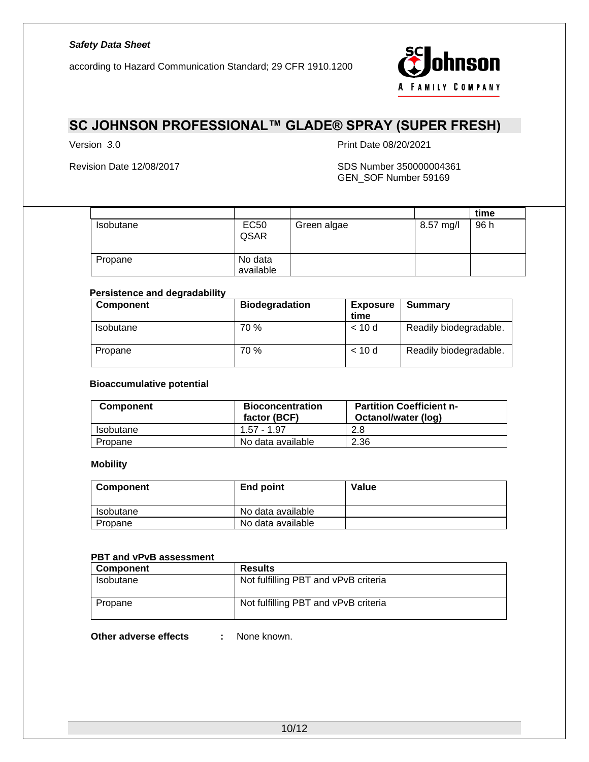according to Hazard Communication Standard; 29 CFR 1910.1200



## **SC JOHNSON PROFESSIONAL™ GLADE® SPRAY (SUPER FRESH)**

Version *3*.0 Print Date 08/20/2021

#### Revision Date 12/08/2017 SDS Number 350000004361 GEN\_SOF Number 59169

|           |                      |             |           | time |  |
|-----------|----------------------|-------------|-----------|------|--|
| Isobutane | <b>EC50</b><br>QSAR  | Green algae | 8.57 mg/l | 96 h |  |
| Propane   | No data<br>available |             |           |      |  |

#### **Persistence and degradability**

| Component | <b>Biodegradation</b> | <b>Exposure</b><br>time | Summary                |
|-----------|-----------------------|-------------------------|------------------------|
| Isobutane | 70 %                  | < 10d                   | Readily biodegradable. |
| Propane   | 70 %                  | < 10d                   | Readily biodegradable. |

#### **Bioaccumulative potential**

| <b>Component</b> | <b>Bioconcentration</b><br>factor (BCF) | <b>Partition Coefficient n-</b><br>Octanol/water (log) |
|------------------|-----------------------------------------|--------------------------------------------------------|
| Isobutane        | 1 57 - 1 97                             | 2.8                                                    |
| Propane          | No data available                       | 2.36                                                   |

#### **Mobility**

| Component | End point         | Value |
|-----------|-------------------|-------|
| Isobutane | No data available |       |
| Propane   | No data available |       |

#### **PBT and vPvB assessment**

| <b>Component</b> | <b>Results</b>                       |
|------------------|--------------------------------------|
| Isobutane        | Not fulfilling PBT and vPvB criteria |
| Propane          | Not fulfilling PBT and vPvB criteria |

**Other adverse effects :** None known.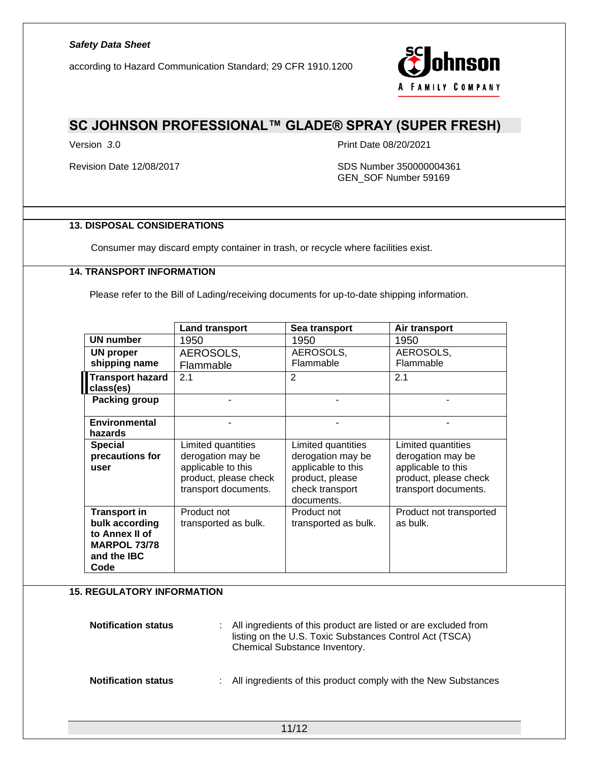according to Hazard Communication Standard; 29 CFR 1910.1200



### **SC JOHNSON PROFESSIONAL™ GLADE® SPRAY (SUPER FRESH)**

Version *3*.0 Print Date 08/20/2021

Revision Date 12/08/2017 SDS Number 350000004361 GEN\_SOF Number 59169

### **13. DISPOSAL CONSIDERATIONS**

Consumer may discard empty container in trash, or recycle where facilities exist.

### **14. TRANSPORT INFORMATION**

Please refer to the Bill of Lading/receiving documents for up-to-date shipping information.

|                                      | <b>Land transport</b> | Sea transport                 | Air transport           |
|--------------------------------------|-----------------------|-------------------------------|-------------------------|
| <b>UN number</b>                     | 1950                  | 1950                          | 1950                    |
| UN proper                            | AEROSOLS,             | AEROSOLS,                     | AEROSOLS,               |
| shipping name                        | Flammable             | Flammable                     | Flammable               |
| <b>Transport hazard</b><br>class(es) | 2.1                   | 2                             | 2.1                     |
| Packing group                        |                       |                               |                         |
| <b>Environmental</b>                 |                       |                               |                         |
| hazards                              |                       |                               |                         |
| <b>Special</b>                       | Limited quantities    | Limited quantities            | Limited quantities      |
| precautions for                      | derogation may be     | derogation may be             | derogation may be       |
| user                                 | applicable to this    | applicable to this            | applicable to this      |
|                                      | product, please check | product, please               | product, please check   |
|                                      | transport documents.  | check transport<br>documents. | transport documents.    |
| <b>Transport in</b>                  | Product not           | Product not                   | Product not transported |
| bulk according                       | transported as bulk.  | transported as bulk.          | as bulk.                |
| to Annex II of                       |                       |                               |                         |
| <b>MARPOL 73/78</b>                  |                       |                               |                         |
| and the <b>IBC</b>                   |                       |                               |                         |
| Code                                 |                       |                               |                         |

### **15. REGULATORY INFORMATION**

| <b>Notification status</b> | : All ingredients of this product are listed or are excluded from<br>listing on the U.S. Toxic Substances Control Act (TSCA)<br>Chemical Substance Inventory. |
|----------------------------|---------------------------------------------------------------------------------------------------------------------------------------------------------------|
| <b>Notification status</b> | : All ingredients of this product comply with the New Substances                                                                                              |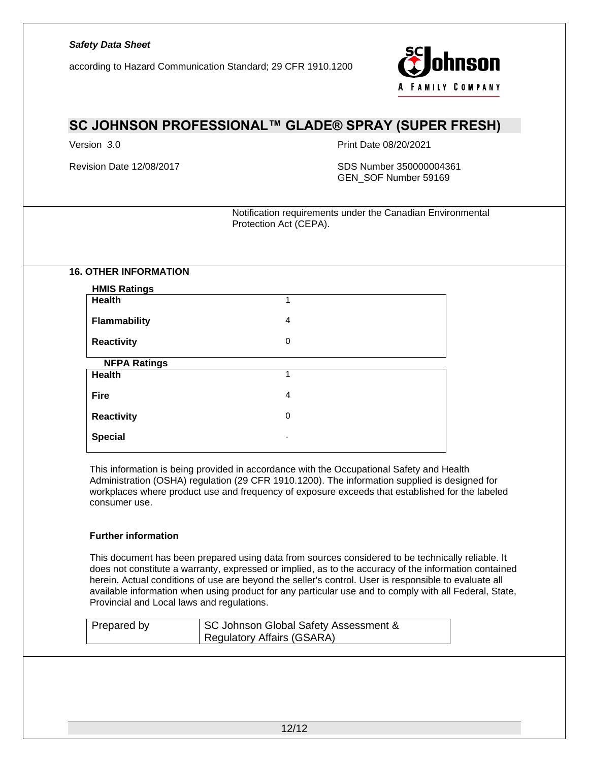according to Hazard Communication Standard; 29 CFR 1910.1200



## **SC JOHNSON PROFESSIONAL™ GLADE® SPRAY (SUPER FRESH)**

Version *3*.0 Print Date 08/20/2021

Revision Date 12/08/2017 SDS Number 350000004361 GEN\_SOF Number 59169

> Notification requirements under the Canadian Environmental Protection Act (CEPA).

**16. OTHER INFORMATION**

| <b>HMIS Ratings</b> |   |  |
|---------------------|---|--|
| Health              | 1 |  |
| <b>Flammability</b> | 4 |  |
| <b>Reactivity</b>   | 0 |  |
| <b>NFPA Ratings</b> |   |  |
| <b>Health</b>       | 1 |  |
| <b>Fire</b>         | 4 |  |
| <b>Reactivity</b>   | 0 |  |
| <b>Special</b>      |   |  |

This information is being provided in accordance with the Occupational Safety and Health Administration (OSHA) regulation (29 CFR 1910.1200). The information supplied is designed for workplaces where product use and frequency of exposure exceeds that established for the labeled consumer use.

#### **Further information**

This document has been prepared using data from sources considered to be technically reliable. It does not constitute a warranty, expressed or implied, as to the accuracy of the information contained herein. Actual conditions of use are beyond the seller's control. User is responsible to evaluate all available information when using product for any particular use and to comply with all Federal, State, Provincial and Local laws and regulations.

| Prepared by | SC Johnson Global Safety Assessment &<br>Regulatory Affairs (GSARA) |
|-------------|---------------------------------------------------------------------|
|             |                                                                     |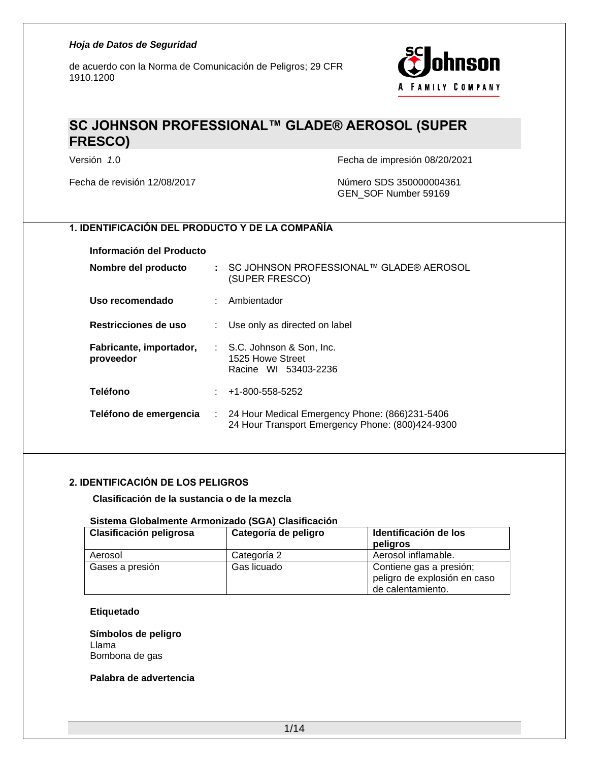de acuerdo con la Norma de Comunicación de Peligros; 29 CFR 1910.1200



## **SC JOHNSON PROFESSIONAL™ GLADE® AEROSOL (SUPER FRESCO)**

Versión *1*.0 Fecha de impresión 08/20/2021

Fecha de revisión 12/08/2017 Número SDS 350000004361 GEN\_SOF Number 59169

### **1. IDENTIFICACIÓN DEL PRODUCTO Y DE LA COMPAÑÍA**

#### **Información del Producto**

| Nombre del producto                  |    | : SC JOHNSON PROFESSIONAL™ GLADE® AEROSOL<br>(SUPER FRESCO)                                                     |
|--------------------------------------|----|-----------------------------------------------------------------------------------------------------------------|
| Uso recomendado                      |    | : Ambientador                                                                                                   |
| Restricciones de uso                 | ÷. | Use only as directed on label                                                                                   |
| Fabricante, importador,<br>proveedor |    | : S.C. Johnson & Son, Inc.<br>1525 Howe Street<br>Racine WI 53403-2236                                          |
| <b>Teléfono</b>                      |    | $: 41-800-558-5252$                                                                                             |
| Teléfono de emergencia               |    | $\therefore$ 24 Hour Medical Emergency Phone: (866)231-5406<br>24 Hour Transport Emergency Phone: (800)424-9300 |

### **2. IDENTIFICACIÓN DE LOS PELIGROS**

#### **Clasificación de la sustancia o de la mezcla**

#### **Sistema Globalmente Armonizado (SGA) Clasificación**

| Clasificación peligrosa | Categoría de peligro | Identificación de los                                                        |  |
|-------------------------|----------------------|------------------------------------------------------------------------------|--|
|                         |                      | peligros                                                                     |  |
| Aerosol                 | Categoría 2          | Aerosol inflamable.                                                          |  |
| Gases a presión         | Gas licuado          | Contiene gas a presión;<br>peligro de explosión en caso<br>de calentamiento. |  |

#### **Etiquetado**

**Símbolos de peligro** Llama Bombona de gas

#### **Palabra de advertencia**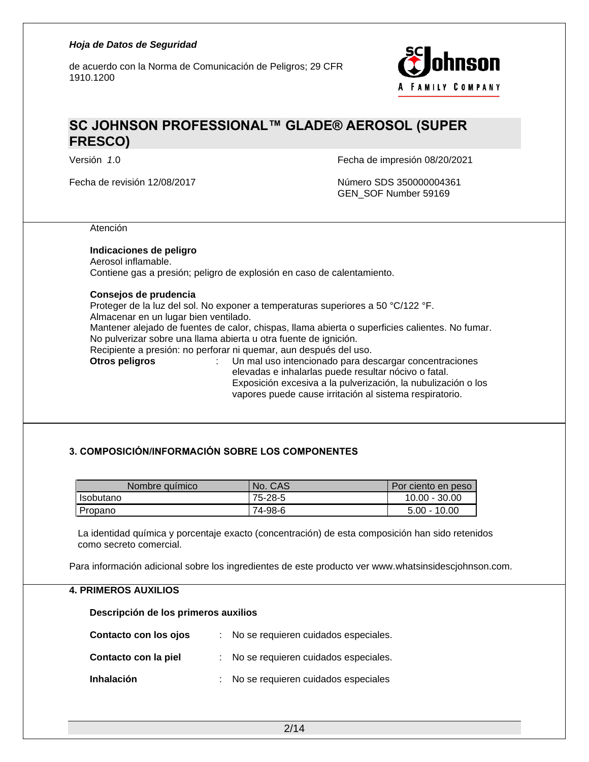de acuerdo con la Norma de Comunicación de Peligros; 29 CFR 1910.1200



## **SC JOHNSON PROFESSIONAL™ GLADE® AEROSOL (SUPER FRESCO)**

Fecha de revisión 12/08/2017 Número SDS 350000004361

Versión *1*.0 Fecha de impresión 08/20/2021

GEN\_SOF Number 59169

Atención

#### **Indicaciones de peligro**

Aerosol inflamable. Contiene gas a presión; peligro de explosión en caso de calentamiento.

#### **Consejos de prudencia**

Proteger de la luz del sol. No exponer a temperaturas superiores a 50 °C/122 °F.

Almacenar en un lugar bien ventilado.

Mantener alejado de fuentes de calor, chispas, llama abierta o superficies calientes. No fumar. No pulverizar sobre una llama abierta u otra fuente de ignición.

Recipiente a presión: no perforar ni quemar, aun después del uso.

- 
- **Otros peligros** : Un mal uso intencionado para descargar concentraciones elevadas e inhalarlas puede resultar nócivo o fatal. Exposición excesiva a la pulverización, la nubulización o los vapores puede cause irritación al sistema respiratorio.

### **3. COMPOSICIÓN/INFORMACIÓN SOBRE LOS COMPONENTES**

| Nombre químico | No. CAS | Por ciento en peso |
|----------------|---------|--------------------|
| l Isobutano    | 75-28-5 | $10.00 - 30.00$    |
| Propano        | 74-98-6 | $5.00 - 10.00$     |

La identidad química y porcentaje exacto (concentración) de esta composición han sido retenidos como secreto comercial.

Para información adicional sobre los ingredientes de este producto ver www.whatsinsidescjohnson.com.

#### **4. PRIMEROS AUXILIOS**

**Descripción de los primeros auxilios**

| Contacto con los ojos | : No se requieren cuidados especiales. |
|-----------------------|----------------------------------------|
| Contacto con la piel  | : No se requieren cuidados especiales. |
| Inhalación            | : No se requieren cuidados especiales  |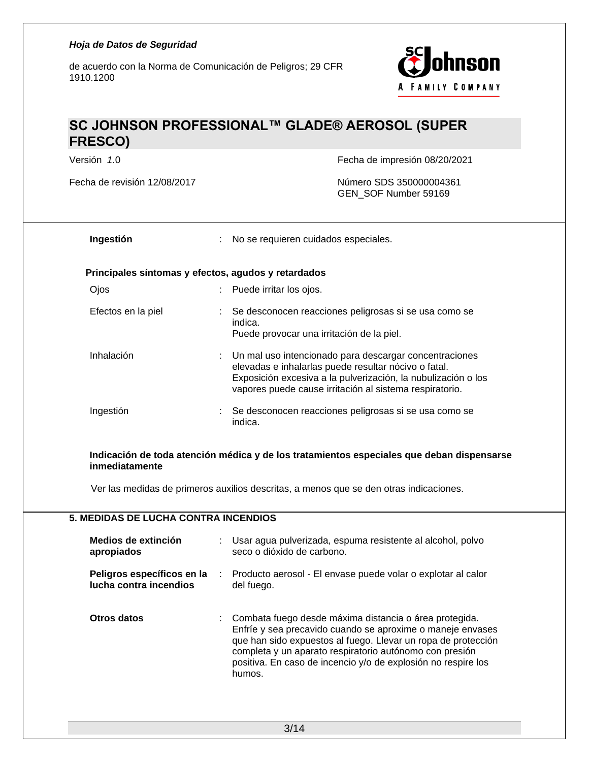de acuerdo con la Norma de Comunicación de Peligros; 29 CFR 1910.1200



## **SC JOHNSON PROFESSIONAL™ GLADE® AEROSOL (SUPER FRESCO)**

Fecha de revisión 12/08/2017 Número SDS 350000004361

Versión *1*.0 Fecha de impresión 08/20/2021

GEN\_SOF Number 59169

| Ingestión                                           | : No se requieren cuidados especiales.                                                                                                                                                                                                       |  |
|-----------------------------------------------------|----------------------------------------------------------------------------------------------------------------------------------------------------------------------------------------------------------------------------------------------|--|
| Principales síntomas y efectos, agudos y retardados |                                                                                                                                                                                                                                              |  |
| Ojos                                                | Puede irritar los ojos.                                                                                                                                                                                                                      |  |
| Efectos en la piel                                  | Se desconocen reacciones peligrosas si se usa como se<br>indica.<br>Puede provocar una irritación de la piel.                                                                                                                                |  |
| Inhalación                                          | : Un mal uso intencionado para descargar concentraciones<br>elevadas e inhalarlas puede resultar nócivo o fatal.<br>Exposición excesiva a la pulverización, la nubulización o los<br>vapores puede cause irritación al sistema respiratorio. |  |
| Ingestión                                           | Se desconocen reacciones peligrosas si se usa como se<br>indica.                                                                                                                                                                             |  |

**Indicación de toda atención médica y de los tratamientos especiales que deban dispensarse inmediatamente**

Ver las medidas de primeros auxilios descritas, a menos que se den otras indicaciones.

### **5. MEDIDAS DE LUCHA CONTRA INCENDIOS**

| Medios de extinción<br>apropiados                    |                 | Usar agua pulverizada, espuma resistente al alcohol, polvo<br>seco o dióxido de carbono.                                                                                                                                                                                                                                    |
|------------------------------------------------------|-----------------|-----------------------------------------------------------------------------------------------------------------------------------------------------------------------------------------------------------------------------------------------------------------------------------------------------------------------------|
| Peligros específicos en la<br>lucha contra incendios | identification. | Producto aerosol - El envase puede volar o explotar al calor<br>del fuego.                                                                                                                                                                                                                                                  |
| Otros datos                                          |                 | Combata fuego desde máxima distancia o área protegida.<br>Enfríe y sea precavido cuando se aproxime o maneje envases<br>que han sido expuestos al fuego. Llevar un ropa de protección<br>completa y un aparato respiratorio autónomo con presión<br>positiva. En caso de incencio y/o de explosión no respire los<br>humos. |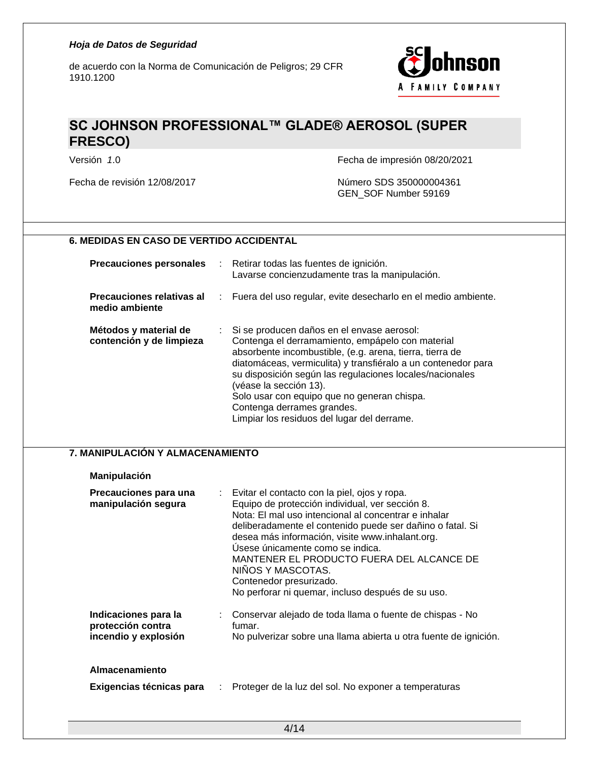de acuerdo con la Norma de Comunicación de Peligros; 29 CFR 1910.1200



## **SC JOHNSON PROFESSIONAL™ GLADE® AEROSOL (SUPER FRESCO)**

Versión *1*.0 Fecha de impresión 08/20/2021

Fecha de revisión 12/08/2017 Número SDS 350000004361 GEN\_SOF Number 59169

### **6. MEDIDAS EN CASO DE VERTIDO ACCIDENTAL**

| <b>Precauciones personales</b>                    | $\sim 100$ | Retirar todas las fuentes de ignición.<br>Lavarse concienzudamente tras la manipulación.                                                                                                                                                                                                                                                                                                                                                        |
|---------------------------------------------------|------------|-------------------------------------------------------------------------------------------------------------------------------------------------------------------------------------------------------------------------------------------------------------------------------------------------------------------------------------------------------------------------------------------------------------------------------------------------|
| Precauciones relativas al<br>medio ambiente       |            | : Fuera del uso regular, evite desecharlo en el medio ambiente.                                                                                                                                                                                                                                                                                                                                                                                 |
| Métodos y material de<br>contención y de limpieza |            | : Si se producen daños en el envase aerosol:<br>Contenga el derramamiento, empápelo con material<br>absorbente incombustible, (e.g. arena, tierra, tierra de<br>diatomáceas, vermiculita) y transfiéralo a un contenedor para<br>su disposición según las regulaciones locales/nacionales<br>(véase la sección 13).<br>Solo usar con equipo que no generan chispa.<br>Contenga derrames grandes.<br>Limpiar los residuos del lugar del derrame. |

#### **7. MANIPULACIÓN Y ALMACENAMIENTO**

#### **Manipulación**

| Precauciones para una<br>manipulación segura                      | : Evitar el contacto con la piel, ojos y ropa.<br>Equipo de protección individual, ver sección 8.<br>Nota: El mal uso intencional al concentrar e inhalar<br>deliberadamente el contenido puede ser dañino o fatal. Si<br>desea más información, visite www.inhalant.org.<br>Úsese únicamente como se indica.<br>MANTENER EL PRODUCTO FUERA DEL ALCANCE DE<br>NIÑOS Y MASCOTAS.<br>Contenedor presurizado.<br>No perforar ni quemar, incluso después de su uso. |  |
|-------------------------------------------------------------------|-----------------------------------------------------------------------------------------------------------------------------------------------------------------------------------------------------------------------------------------------------------------------------------------------------------------------------------------------------------------------------------------------------------------------------------------------------------------|--|
| Indicaciones para la<br>protección contra<br>incendio y explosión | Conservar alejado de toda llama o fuente de chispas - No<br>fumar.<br>No pulverizar sobre una llama abierta u otra fuente de ignición.                                                                                                                                                                                                                                                                                                                          |  |
| Almacenamiento<br>Exigencias técnicas para                        | Proteger de la luz del sol. No exponer a temperaturas                                                                                                                                                                                                                                                                                                                                                                                                           |  |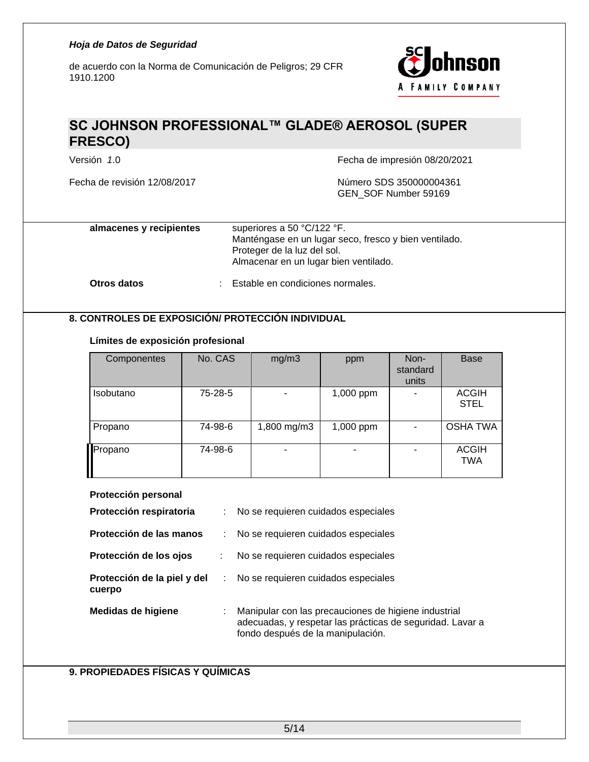de acuerdo con la Norma de Comunicación de Peligros; 29 CFR 1910.1200



## **SC JOHNSON PROFESSIONAL™ GLADE® AEROSOL (SUPER FRESCO)**

Fecha de revisión 12/08/2017 Número SDS 350000004361

Versión *1*.0 Fecha de impresión 08/20/2021

GEN\_SOF Number 59169

| almacenes y recipientes | superiores a 50 °C/122 °F.<br>Manténgase en un lugar seco, fresco y bien ventilado.<br>Proteger de la luz del sol.<br>Almacenar en un lugar bien ventilado. |
|-------------------------|-------------------------------------------------------------------------------------------------------------------------------------------------------------|
| Otros datos             | Estable en condiciones normales.                                                                                                                            |

### **8. CONTROLES DE EXPOSICIÓN/ PROTECCIÓN INDIVIDUAL**

#### **Límites de exposición profesional**

| Componentes | No. CAS | mg/m3       | ppm       | Non-<br>standard<br>units | <b>Base</b>                 |
|-------------|---------|-------------|-----------|---------------------------|-----------------------------|
| Isobutano   | 75-28-5 |             | 1,000 ppm |                           | <b>ACGIH</b><br><b>STEL</b> |
| Propano     | 74-98-6 | 1,800 mg/m3 | 1,000 ppm |                           | <b>OSHA TWA</b>             |
| Propano     | 74-98-6 |             | ۰         |                           | <b>ACGIH</b><br>TWA         |

#### **Protección personal**

| Protección respiratoria               | t. | No se requieren cuidados especiales                                                                                                                    |
|---------------------------------------|----|--------------------------------------------------------------------------------------------------------------------------------------------------------|
| Protección de las manos               |    | No se requieren cuidados especiales                                                                                                                    |
| Protección de los ojos                | ÷  | No se requieren cuidados especiales                                                                                                                    |
| Protección de la piel y del<br>cuerpo | ÷. | No se requieren cuidados especiales                                                                                                                    |
| Medidas de higiene                    |    | Manipular con las precauciones de higiene industrial<br>adecuadas, y respetar las prácticas de seguridad. Lavar a<br>fondo después de la manipulación. |

### **9. PROPIEDADES FÍSICAS Y QUÍMICAS**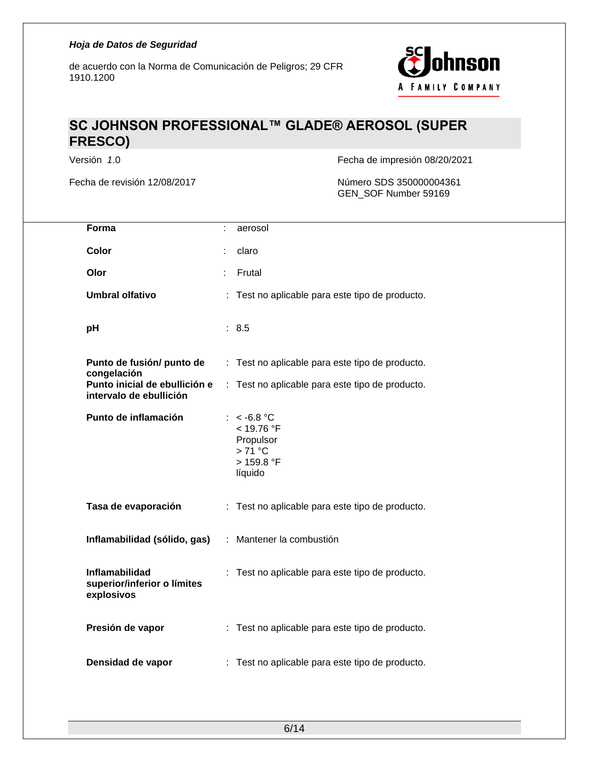

## **SC JOHNSON PROFESSIONAL™ GLADE® AEROSOL (SUPER FRESCO)**

Versión *1*.0 Fecha de impresión 08/20/2021

Fecha de revisión 12/08/2017 Número SDS 350000004361 GEN\_SOF Number 59169

| Forma                                                       | aerosol                                                                              |
|-------------------------------------------------------------|--------------------------------------------------------------------------------------|
| Color                                                       | claro                                                                                |
| Olor                                                        | Frutal                                                                               |
| <b>Umbral olfativo</b>                                      | : Test no aplicable para este tipo de producto.                                      |
| pH                                                          | : 8.5                                                                                |
| Punto de fusión/ punto de<br>congelación                    | : Test no aplicable para este tipo de producto.                                      |
| Punto inicial de ebullición e<br>intervalo de ebullición    | : Test no aplicable para este tipo de producto.                                      |
| Punto de inflamación                                        | : $< -6.8$ °C<br>< 19.76 °F<br>Propulsor<br>$>71^{\circ}$ C<br>> 159.8 °F<br>líquido |
| Tasa de evaporación                                         | : Test no aplicable para este tipo de producto.                                      |
| Inflamabilidad (sólido, gas)                                | : Mantener la combustión                                                             |
| Inflamabilidad<br>superior/inferior o límites<br>explosivos | : Test no aplicable para este tipo de producto.                                      |
| Presión de vapor                                            | : Test no aplicable para este tipo de producto.                                      |
| Densidad de vapor                                           | : Test no aplicable para este tipo de producto.                                      |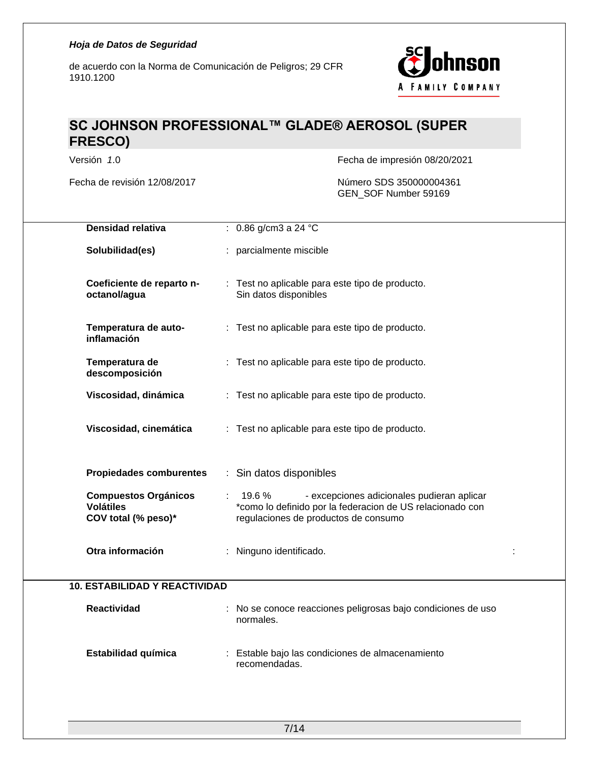de acuerdo con la Norma de Comunicación de Peligros; 29 CFR 1910.1200



## **SC JOHNSON PROFESSIONAL™ GLADE® AEROSOL (SUPER FRESCO)**

Versión *1*.0 Fecha de impresión 08/20/2021

Fecha de revisión 12/08/2017 Número SDS 350000004361 GEN\_SOF Number 59169

| Densidad relativa                                                      | : $0.86$ g/cm3 a 24 °C                                                                                                                                   |
|------------------------------------------------------------------------|----------------------------------------------------------------------------------------------------------------------------------------------------------|
| Solubilidad(es)                                                        | : parcialmente miscible                                                                                                                                  |
| Coeficiente de reparto n-<br>octanol/agua                              | : Test no aplicable para este tipo de producto.<br>Sin datos disponibles                                                                                 |
| Temperatura de auto-<br>inflamación                                    | : Test no aplicable para este tipo de producto.                                                                                                          |
| Temperatura de<br>descomposición                                       | : Test no aplicable para este tipo de producto.                                                                                                          |
| Viscosidad, dinámica                                                   | : Test no aplicable para este tipo de producto.                                                                                                          |
| Viscosidad, cinemática                                                 | : Test no aplicable para este tipo de producto.                                                                                                          |
| <b>Propiedades comburentes</b>                                         | : Sin datos disponibles                                                                                                                                  |
| <b>Compuestos Orgánicos</b><br><b>Volátiles</b><br>COV total (% peso)* | 19.6%<br>- excepciones adicionales pudieran aplicar<br>*como lo definido por la federacion de US relacionado con<br>regulaciones de productos de consumo |
| Otra información                                                       | : Ninguno identificado.                                                                                                                                  |
| <b>10. ESTABILIDAD Y REACTIVIDAD</b>                                   |                                                                                                                                                          |
| <b>Reactividad</b>                                                     | : No se conoce reacciones peligrosas bajo condiciones de uso<br>normales.                                                                                |
| Estabilidad química                                                    | : Estable bajo las condiciones de almacenamiento<br>recomendadas.                                                                                        |
|                                                                        |                                                                                                                                                          |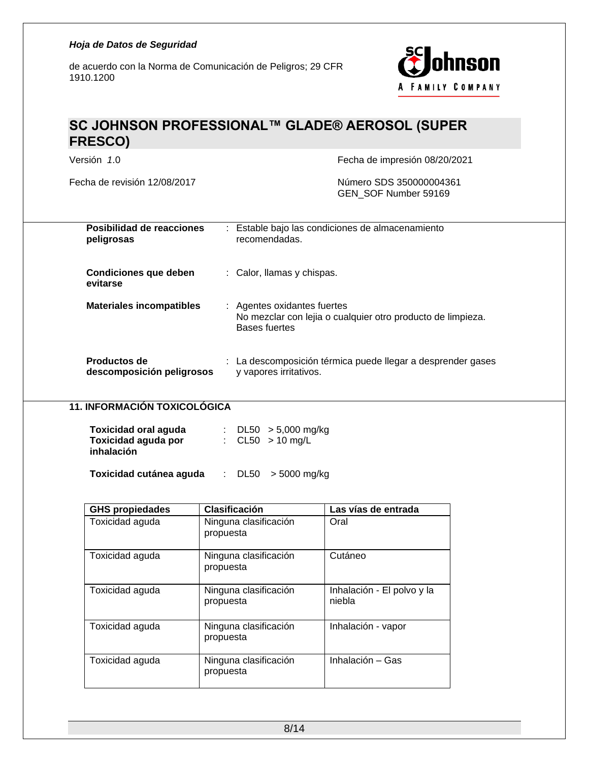de acuerdo con la Norma de Comunicación de Peligros; 29 CFR 1910.1200



## **SC JOHNSON PROFESSIONAL™ GLADE® AEROSOL (SUPER FRESCO)**

Fecha de revisión 12/08/2017 Número SDS 350000004361

Versión *1*.0 Fecha de impresión 08/20/2021

GEN\_SOF Number 59169

| Posibilidad de reacciones<br>peligrosas   | : Estable bajo las condiciones de almacenamiento<br>recomendadas.                                           |
|-------------------------------------------|-------------------------------------------------------------------------------------------------------------|
| Condiciones que deben<br>evitarse         | : Calor, llamas y chispas.                                                                                  |
| <b>Materiales incompatibles</b>           | : Agentes oxidantes fuertes<br>No mezclar con lejia o cualquier otro producto de limpieza.<br>Bases fuertes |
| Productos de<br>descomposición peligrosos | : La descomposición térmica puede llegar a desprender gases<br>y vapores irritativos.                       |

#### **11. INFORMACIÓN TOXICOLÓGICA**

| : $DL50 > 5,000$ mg/kg |
|------------------------|
| : $CL50 > 10$ mg/L     |
|                        |

**Toxicidad cutánea aguda** : DL50 > 5000 mg/kg

| <b>GHS propiedades</b> | <b>Clasificación</b>               | Las vías de entrada                  |
|------------------------|------------------------------------|--------------------------------------|
| Toxicidad aguda        | Ninguna clasificación<br>propuesta | Oral                                 |
| Toxicidad aguda        | Ninguna clasificación<br>propuesta | Cutáneo                              |
| Toxicidad aguda        | Ninguna clasificación<br>propuesta | Inhalación - El polvo y la<br>niebla |
| Toxicidad aguda        | Ninguna clasificación<br>propuesta | Inhalación - vapor                   |
| Toxicidad aguda        | Ninguna clasificación<br>propuesta | Inhalación - Gas                     |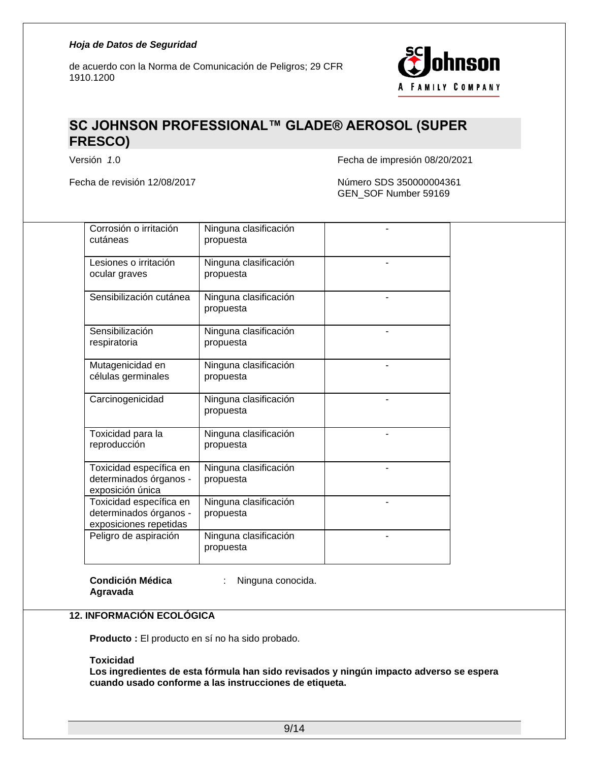

## **SC JOHNSON PROFESSIONAL™ GLADE® AEROSOL (SUPER FRESCO)**

Fecha de revisión 12/08/2017 Número SDS 350000004361

Versión *1*.0 Fecha de impresión 08/20/2021

GEN\_SOF Number 59169

| Corrosión o irritación<br>cutáneas                                          | Ninguna clasificación<br>propuesta |  |
|-----------------------------------------------------------------------------|------------------------------------|--|
| Lesiones o irritación<br>ocular graves                                      | Ninguna clasificación<br>propuesta |  |
| Sensibilización cutánea                                                     | Ninguna clasificación<br>propuesta |  |
| Sensibilización<br>respiratoria                                             | Ninguna clasificación<br>propuesta |  |
| Mutagenicidad en<br>células germinales                                      | Ninguna clasificación<br>propuesta |  |
| Carcinogenicidad                                                            | Ninguna clasificación<br>propuesta |  |
| Toxicidad para la<br>reproducción                                           | Ninguna clasificación<br>propuesta |  |
| Toxicidad específica en<br>determinados órganos -<br>exposición única       | Ninguna clasificación<br>propuesta |  |
| Toxicidad específica en<br>determinados órganos -<br>exposiciones repetidas | Ninguna clasificación<br>propuesta |  |
| Peligro de aspiración                                                       | Ninguna clasificación<br>propuesta |  |

**Condición Médica** 

: Ninguna conocida.

**Agravada**

**12. INFORMACIÓN ECOLÓGICA**

**Producto :** El producto en sí no ha sido probado.

**Toxicidad**

**Los ingredientes de esta fórmula han sido revisados y ningún impacto adverso se espera cuando usado conforme a las instrucciones de etiqueta.**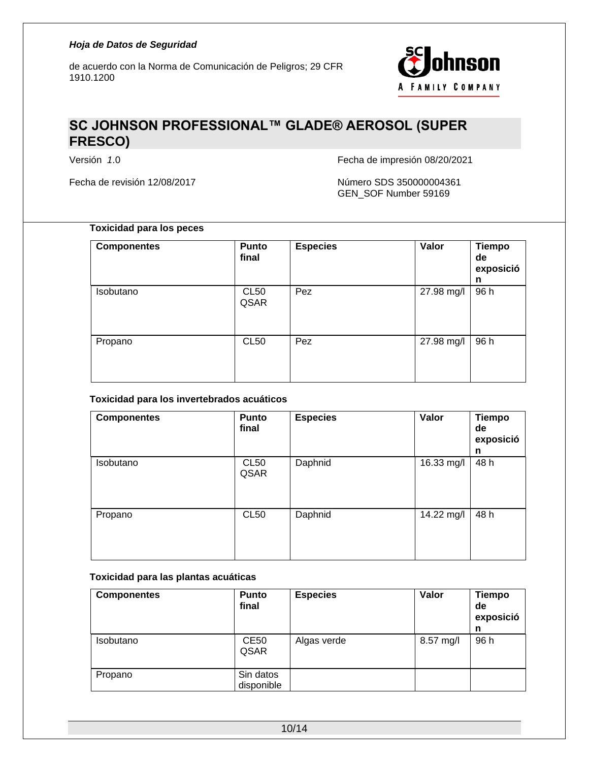

## **SC JOHNSON PROFESSIONAL™ GLADE® AEROSOL (SUPER FRESCO)**

Fecha de revisión 12/08/2017 Número SDS 350000004361

Versión *1*.0 Fecha de impresión 08/20/2021

GEN\_SOF Number 59169

### **Toxicidad para los peces**

| <b>Componentes</b> | <b>Punto</b><br>final | <b>Especies</b> | Valor      | <b>Tiempo</b><br>de<br>exposició<br>n |
|--------------------|-----------------------|-----------------|------------|---------------------------------------|
| Isobutano          | <b>CL50</b><br>QSAR   | Pez             | 27.98 mg/l | 96 h                                  |
| Propano            | <b>CL50</b>           | Pez             | 27.98 mg/l | 96 h                                  |

#### **Toxicidad para los invertebrados acuáticos**

| <b>Componentes</b> | Punto<br>final      | <b>Especies</b> | Valor      | <b>Tiempo</b><br>de<br>exposició<br>n |
|--------------------|---------------------|-----------------|------------|---------------------------------------|
| Isobutano          | <b>CL50</b><br>QSAR | Daphnid         | 16.33 mg/l | 48 h                                  |
| Propano            | <b>CL50</b>         | Daphnid         | 14.22 mg/l | 48 h                                  |

#### **Toxicidad para las plantas acuáticas**

| <b>Componentes</b> | <b>Punto</b><br>final   | <b>Especies</b> | Valor     | <b>Tiempo</b><br>de<br>exposició<br>n |
|--------------------|-------------------------|-----------------|-----------|---------------------------------------|
| Isobutano          | <b>CE50</b><br>QSAR     | Algas verde     | 8.57 mg/l | 96 h                                  |
| Propano            | Sin datos<br>disponible |                 |           |                                       |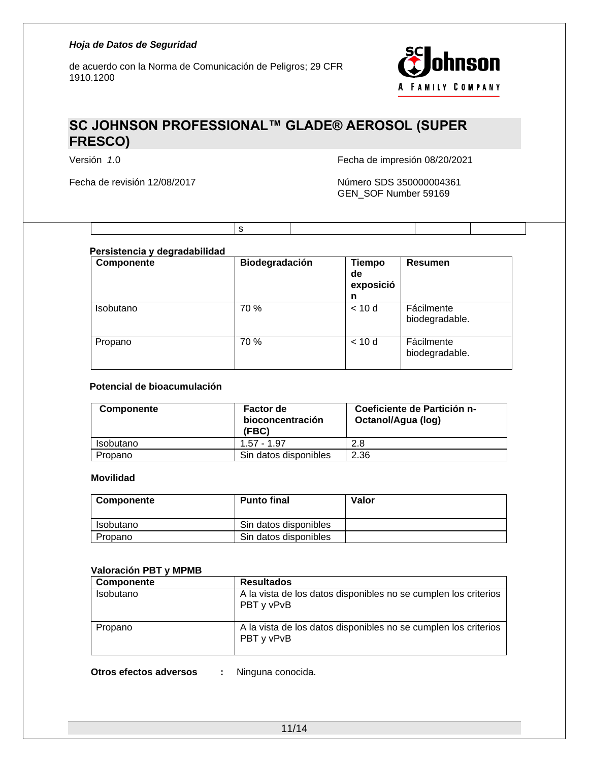

## **SC JOHNSON PROFESSIONAL™ GLADE® AEROSOL (SUPER FRESCO)**

s

Fecha de revisión 12/08/2017 Número SDS 350000004361

Versión *1*.0 Fecha de impresión 08/20/2021

GEN\_SOF Number 59169

### **Persistencia y degradabilidad**

| Componente       | Biodegradación | <b>Tiempo</b><br>de<br>exposició<br>n | <b>Resumen</b>               |
|------------------|----------------|---------------------------------------|------------------------------|
| <b>Isobutano</b> | 70 %           | < 10d                                 | Fácilmente<br>biodegradable. |
| Propano          | 70 %           | < 10d                                 | Fácilmente<br>biodegradable. |

#### **Potencial de bioacumulación**

| <b>Componente</b> | <b>Factor de</b><br>bioconcentración<br>(FBC) | Coeficiente de Partición n-<br>Octanol/Agua (log) |
|-------------------|-----------------------------------------------|---------------------------------------------------|
| Isobutano         | $1.57 - 1.97$                                 | 2.8                                               |
| Propano           | Sin datos disponibles                         | 2.36                                              |

#### **Movilidad**

| Componente | <b>Punto final</b>    | Valor |
|------------|-----------------------|-------|
| Isobutano  | Sin datos disponibles |       |
| Propano    | Sin datos disponibles |       |

#### **Valoración PBT y MPMB**

| Componente | <b>Resultados</b>                                                             |
|------------|-------------------------------------------------------------------------------|
| Isobutano  | A la vista de los datos disponibles no se cumplen los criterios<br>PBT y vPvB |
| Propano    | A la vista de los datos disponibles no se cumplen los criterios<br>PBT y vPvB |

**Otros efectos adversos :** Ninguna conocida.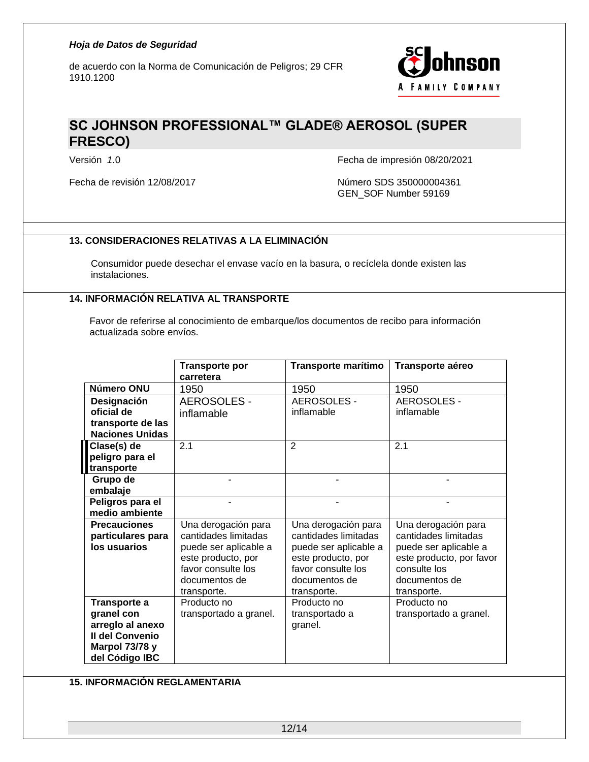de acuerdo con la Norma de Comunicación de Peligros; 29 CFR 1910.1200



## **SC JOHNSON PROFESSIONAL™ GLADE® AEROSOL (SUPER FRESCO)**

Versión *1*.0 Fecha de impresión 08/20/2021

Fecha de revisión 12/08/2017 Número SDS 350000004361 GEN\_SOF Number 59169

### **13. CONSIDERACIONES RELATIVAS A LA ELIMINACIÓN**

Consumidor puede desechar el envase vacío en la basura, o recíclela donde existen las instalaciones.

### **14. INFORMACIÓN RELATIVA AL TRANSPORTE**

Favor de referirse al conocimiento de embarque/los documentos de recibo para información actualizada sobre envíos.

|                        | <b>Transporte por</b>  | Transporte marítimo   | Transporte aéreo         |
|------------------------|------------------------|-----------------------|--------------------------|
|                        | carretera              |                       |                          |
| Número ONU             | 1950                   | 1950                  | 1950                     |
| Designación            | <b>AEROSOLES -</b>     | AEROSOLES -           | AEROSOLES -              |
| oficial de             | inflamable             | inflamable            | inflamable               |
| transporte de las      |                        |                       |                          |
| <b>Naciones Unidas</b> |                        |                       |                          |
| Clase(s) de            | 2.1                    | $\overline{2}$        | 2.1                      |
| peligro para el        |                        |                       |                          |
| transporte             |                        |                       |                          |
| Grupo de               |                        |                       |                          |
| embalaje               |                        |                       |                          |
| Peligros para el       |                        |                       |                          |
| medio ambiente         |                        |                       |                          |
| <b>Precauciones</b>    | Una derogación para    | Una derogación para   | Una derogación para      |
| particulares para      | cantidades limitadas   | cantidades limitadas  | cantidades limitadas     |
| los usuarios           | puede ser aplicable a  | puede ser aplicable a | puede ser aplicable a    |
|                        | este producto, por     | este producto, por    | este producto, por favor |
|                        | favor consulte los     | favor consulte los    | consulte los             |
|                        | documentos de          | documentos de         | documentos de            |
|                        | transporte.            | transporte.           | transporte.              |
| Transporte a           | Producto no            | Producto no           | Producto no              |
| granel con             | transportado a granel. | transportado a        | transportado a granel.   |
| arreglo al anexo       |                        | granel.               |                          |
| Il del Convenio        |                        |                       |                          |
| Marpol 73/78 y         |                        |                       |                          |
| del Código IBC         |                        |                       |                          |

#### **15. INFORMACIÓN REGLAMENTARIA**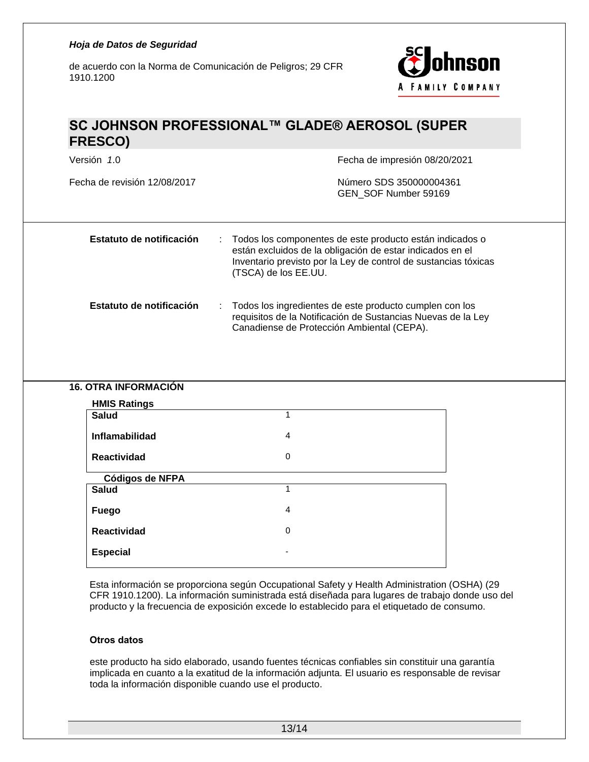de acuerdo con la Norma de Comunicación de Peligros; 29 CFR 1910.1200



## **SC JOHNSON PROFESSIONAL™ GLADE® AEROSOL (SUPER FRESCO)**

Versión *1*.0 Fecha de impresión 08/20/2021

Fecha de revisión 12/08/2017 Número SDS 350000004361 GEN\_SOF Number 59169

| Estatuto de notificación | : Todos los componentes de este producto están indicados o<br>están excluidos de la obligación de estar indicados en el<br>Inventario previsto por la Ley de control de sustancias tóxicas<br>(TSCA) de los EE.UU. |
|--------------------------|--------------------------------------------------------------------------------------------------------------------------------------------------------------------------------------------------------------------|
| Estatuto de notificación | : Todos los ingredientes de este producto cumplen con los<br>requisitos de la Notificación de Sustancias Nuevas de la Ley<br>Canadiense de Protección Ambiental (CEPA).                                            |

#### **16. OTRA INFORMACIÓN**

| <b>HMIS Ratings</b> |                |
|---------------------|----------------|
| <b>Salud</b>        | 1              |
| Inflamabilidad      | 4              |
| <b>Reactividad</b>  | $\mathbf 0$    |
| Códigos de NFPA     |                |
| <b>Salud</b>        | 1              |
| <b>Fuego</b>        | $\overline{4}$ |
| <b>Reactividad</b>  | $\mathbf 0$    |
| <b>Especial</b>     |                |

Esta información se proporciona según Occupational Safety y Health Administration (OSHA) (29 CFR 1910.1200). La información suministrada está diseñada para lugares de trabajo donde uso del producto y la frecuencia de exposición excede lo establecido para el etiquetado de consumo.

#### **Otros datos**

este producto ha sido elaborado, usando fuentes técnicas confiables sin constituir una garantía implicada en cuanto a la exatitud de la información adjunta. El usuario es responsable de revisar toda la información disponible cuando use el producto.